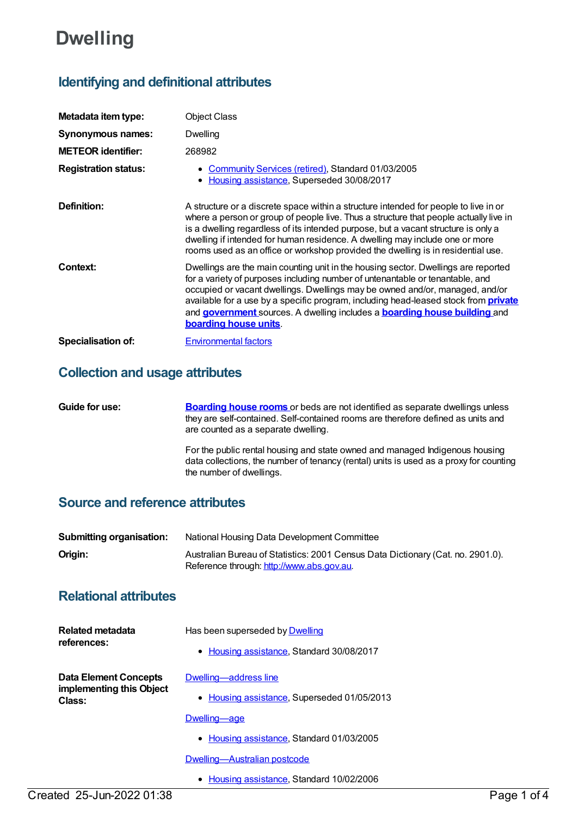# **Dwelling**

## **Identifying and definitional attributes**

| Metadata item type:         | <b>Object Class</b>                                                                                                                                                                                                                                                                                                                                                                                                                                           |
|-----------------------------|---------------------------------------------------------------------------------------------------------------------------------------------------------------------------------------------------------------------------------------------------------------------------------------------------------------------------------------------------------------------------------------------------------------------------------------------------------------|
| Synonymous names:           | Dwelling                                                                                                                                                                                                                                                                                                                                                                                                                                                      |
| <b>METEOR</b> identifier:   | 268982                                                                                                                                                                                                                                                                                                                                                                                                                                                        |
| <b>Registration status:</b> | • Community Services (retired), Standard 01/03/2005<br>• Housing assistance, Superseded 30/08/2017                                                                                                                                                                                                                                                                                                                                                            |
| Definition:                 | A structure or a discrete space within a structure intended for people to live in or<br>where a person or group of people live. Thus a structure that people actually live in<br>is a dwelling regardless of its intended purpose, but a vacant structure is only a<br>dwelling if intended for human residence. A dwelling may include one or more<br>rooms used as an office or workshop provided the dwelling is in residential use.                       |
| Context:                    | Dwellings are the main counting unit in the housing sector. Dwellings are reported<br>for a variety of purposes including number of untenantable or tenantable, and<br>occupied or vacant dwellings. Dwellings may be owned and/or, managed, and/or<br>available for a use by a specific program, including head-leased stock from <b>private</b><br>and government sources. A dwelling includes a <b>boarding house building</b> and<br>boarding house units |
| Specialisation of:          | <b>Environmental factors</b>                                                                                                                                                                                                                                                                                                                                                                                                                                  |

### **Collection and usage attributes**

| Guide for use: | <b>Boarding house rooms</b> or beds are not identified as separate dwellings unless<br>they are self-contained. Self-contained rooms are therefore defined as units and<br>are counted as a separate dwelling. |
|----------------|----------------------------------------------------------------------------------------------------------------------------------------------------------------------------------------------------------------|
|                | For the public rental housing and state owned and managed Indigenous housing<br>data collections, the number of tenancy (rental) units is used as a proxy for counting<br>the number of dwellings.             |

### **Source and reference attributes**

| <b>Submitting organisation:</b> | National Housing Data Development Committee                                                                                  |
|---------------------------------|------------------------------------------------------------------------------------------------------------------------------|
| Origin:                         | Australian Bureau of Statistics: 2001 Census Data Dictionary (Cat. no. 2901.0).<br>Reference through: http://www.abs.gov.au. |

### **Relational attributes**

| Related metadata<br>references:                                    | Has been superseded by Dwelling<br>• Housing assistance, Standard 30/08/2017                                                      |
|--------------------------------------------------------------------|-----------------------------------------------------------------------------------------------------------------------------------|
| <b>Data Element Concepts</b><br>implementing this Object<br>Class: | Dwelling—address line<br>• Housing assistance, Superseded 01/05/2013<br>Dwelling—age<br>• Housing assistance, Standard 01/03/2005 |
|                                                                    | Dwelling—Australian postcode                                                                                                      |

- Created 25-Jun-2022 01:38 Page 1 of 4
- Housing [assistance](https://meteor.aihw.gov.au/RegistrationAuthority/11), Standard 10/02/2006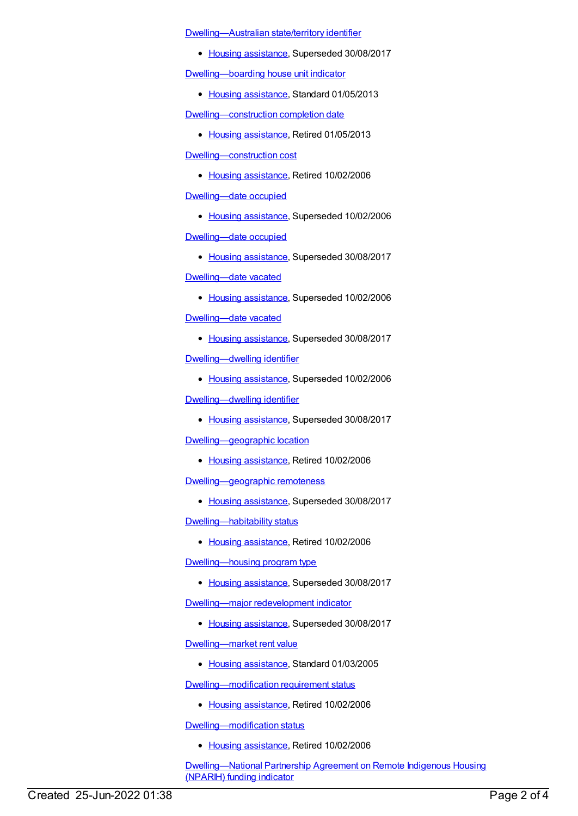[Dwelling—Australian](https://meteor.aihw.gov.au/content/302042) state/territory identifier

• Housing [assistance](https://meteor.aihw.gov.au/RegistrationAuthority/11), Superseded 30/08/2017

[Dwelling—boarding](https://meteor.aihw.gov.au/content/464178) house unit indicator

• Housing [assistance](https://meteor.aihw.gov.au/RegistrationAuthority/11), Standard 01/05/2013

[Dwelling—construction](https://meteor.aihw.gov.au/content/269693) completion date

• Housing [assistance](https://meteor.aihw.gov.au/RegistrationAuthority/11), Retired 01/05/2013

[Dwelling—construction](https://meteor.aihw.gov.au/content/269685) cost

• Housing [assistance](https://meteor.aihw.gov.au/RegistrationAuthority/11), Retired 10/02/2006

[Dwelling—date](https://meteor.aihw.gov.au/content/269689) occupied

• Housing [assistance](https://meteor.aihw.gov.au/RegistrationAuthority/11), Superseded 10/02/2006

[Dwelling—date](https://meteor.aihw.gov.au/content/302842) occupied

• Housing [assistance](https://meteor.aihw.gov.au/RegistrationAuthority/11), Superseded 30/08/2017

[Dwelling—date](https://meteor.aihw.gov.au/content/269691) vacated

- Housing [assistance](https://meteor.aihw.gov.au/RegistrationAuthority/11), Superseded 10/02/2006 [Dwelling—date](https://meteor.aihw.gov.au/content/302849) vacated
	- Housing [assistance](https://meteor.aihw.gov.au/RegistrationAuthority/11), Superseded 30/08/2017

[Dwelling—dwelling](https://meteor.aihw.gov.au/content/269746) identifier

• Housing [assistance](https://meteor.aihw.gov.au/RegistrationAuthority/11), Superseded 10/02/2006

[Dwelling—dwelling](https://meteor.aihw.gov.au/content/302653) identifier

• Housing [assistance](https://meteor.aihw.gov.au/RegistrationAuthority/11), Superseded 30/08/2017

[Dwelling—geographic](https://meteor.aihw.gov.au/content/269724) location

• Housing [assistance](https://meteor.aihw.gov.au/RegistrationAuthority/11), Retired 10/02/2006

[Dwelling—geographic](https://meteor.aihw.gov.au/content/491573) remoteness

• Housing [assistance](https://meteor.aihw.gov.au/RegistrationAuthority/11), Superseded 30/08/2017

[Dwelling—habitability](https://meteor.aihw.gov.au/content/269581) status

• Housing [assistance](https://meteor.aihw.gov.au/RegistrationAuthority/11), Retired 10/02/2006

[Dwelling—housing](https://meteor.aihw.gov.au/content/459029) program type

• Housing [assistance](https://meteor.aihw.gov.au/RegistrationAuthority/11), Superseded 30/08/2017

[Dwelling—major](https://meteor.aihw.gov.au/content/459051) redevelopment indicator

• Housing [assistance](https://meteor.aihw.gov.au/RegistrationAuthority/11), Superseded 30/08/2017

[Dwelling—market](https://meteor.aihw.gov.au/content/269661) rent value

• Housing [assistance](https://meteor.aihw.gov.au/RegistrationAuthority/11), Standard 01/03/2005

[Dwelling—modification](https://meteor.aihw.gov.au/content/269583) requirement status

• Housing [assistance](https://meteor.aihw.gov.au/RegistrationAuthority/11), Retired 10/02/2006

[Dwelling—modification](https://meteor.aihw.gov.au/content/269582) status

• Housing [assistance](https://meteor.aihw.gov.au/RegistrationAuthority/11), Retired 10/02/2006

[Dwelling—National](https://meteor.aihw.gov.au/content/461629) Partnership Agreement on Remote Indigenous Housing (NPARIH) funding indicator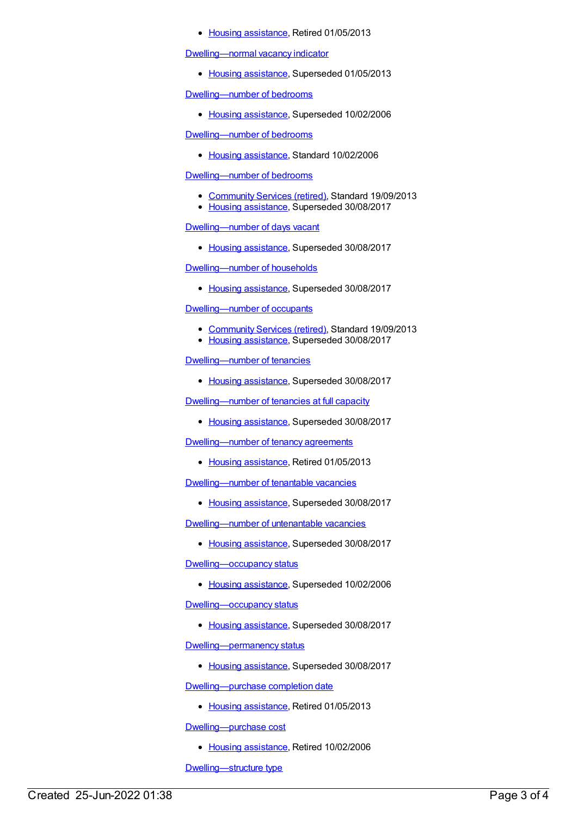• Housing [assistance](https://meteor.aihw.gov.au/RegistrationAuthority/11), Retired 01/05/2013

[Dwelling—normal](https://meteor.aihw.gov.au/content/461026) vacancy indicator

• Housing [assistance](https://meteor.aihw.gov.au/RegistrationAuthority/11), Superseded 01/05/2013

[Dwelling—number](https://meteor.aihw.gov.au/content/269664) of bedrooms

• Housing [assistance](https://meteor.aihw.gov.au/RegistrationAuthority/11), Superseded 10/02/2006

[Dwelling—number](https://meteor.aihw.gov.au/content/302510) of bedrooms

• Housing [assistance](https://meteor.aihw.gov.au/RegistrationAuthority/11), Standard 10/02/2006

[Dwelling—number](https://meteor.aihw.gov.au/content/489864) of bedrooms

- [Community](https://meteor.aihw.gov.au/RegistrationAuthority/1) Services (retired), Standard 19/09/2013
- Housing [assistance](https://meteor.aihw.gov.au/RegistrationAuthority/11), Superseded 30/08/2017

### [Dwelling—number](https://meteor.aihw.gov.au/content/459067) of days vacant

• Housing [assistance](https://meteor.aihw.gov.au/RegistrationAuthority/11), Superseded 30/08/2017

#### [Dwelling—number](https://meteor.aihw.gov.au/content/463935) of households

• Housing [assistance](https://meteor.aihw.gov.au/RegistrationAuthority/11), Superseded 30/08/2017

### [Dwelling—number](https://meteor.aihw.gov.au/content/443862) of occupants

- [Community](https://meteor.aihw.gov.au/RegistrationAuthority/1) Services (retired), Standard 19/09/2013
- Housing [assistance](https://meteor.aihw.gov.au/RegistrationAuthority/11), Superseded 30/08/2017

#### [Dwelling—number](https://meteor.aihw.gov.au/content/462662) of tenancies

• Housing [assistance](https://meteor.aihw.gov.au/RegistrationAuthority/11), Superseded 30/08/2017

[Dwelling—number](https://meteor.aihw.gov.au/content/444071) of tenancies at full capacity

• Housing [assistance](https://meteor.aihw.gov.au/RegistrationAuthority/11), Superseded 30/08/2017

[Dwelling—number](https://meteor.aihw.gov.au/content/269783) of tenancy agreements

• Housing [assistance](https://meteor.aihw.gov.au/RegistrationAuthority/11), Retired 01/05/2013

[Dwelling—number](https://meteor.aihw.gov.au/content/462636) of tenantable vacancies

• Housing [assistance](https://meteor.aihw.gov.au/RegistrationAuthority/11), Superseded 30/08/2017

[Dwelling—number](https://meteor.aihw.gov.au/content/444186) of untenantable vacancies

• Housing [assistance](https://meteor.aihw.gov.au/RegistrationAuthority/11), Superseded 30/08/2017

Dwelling-occupancy status

• Housing [assistance](https://meteor.aihw.gov.au/RegistrationAuthority/11), Superseded 10/02/2006

[Dwelling—occupancy](https://meteor.aihw.gov.au/content/302860) status

• Housing [assistance](https://meteor.aihw.gov.au/RegistrationAuthority/11), Superseded 30/08/2017

Dwelling-permanency status

• Housing [assistance](https://meteor.aihw.gov.au/RegistrationAuthority/11), Superseded 30/08/2017

[Dwelling—purchase](https://meteor.aihw.gov.au/content/269694) completion date

• Housing [assistance](https://meteor.aihw.gov.au/RegistrationAuthority/11), Retired 01/05/2013

[Dwelling—purchase](https://meteor.aihw.gov.au/content/269668) cost

• Housing [assistance](https://meteor.aihw.gov.au/RegistrationAuthority/11), Retired 10/02/2006

[Dwelling—structure](https://meteor.aihw.gov.au/content/269588) type